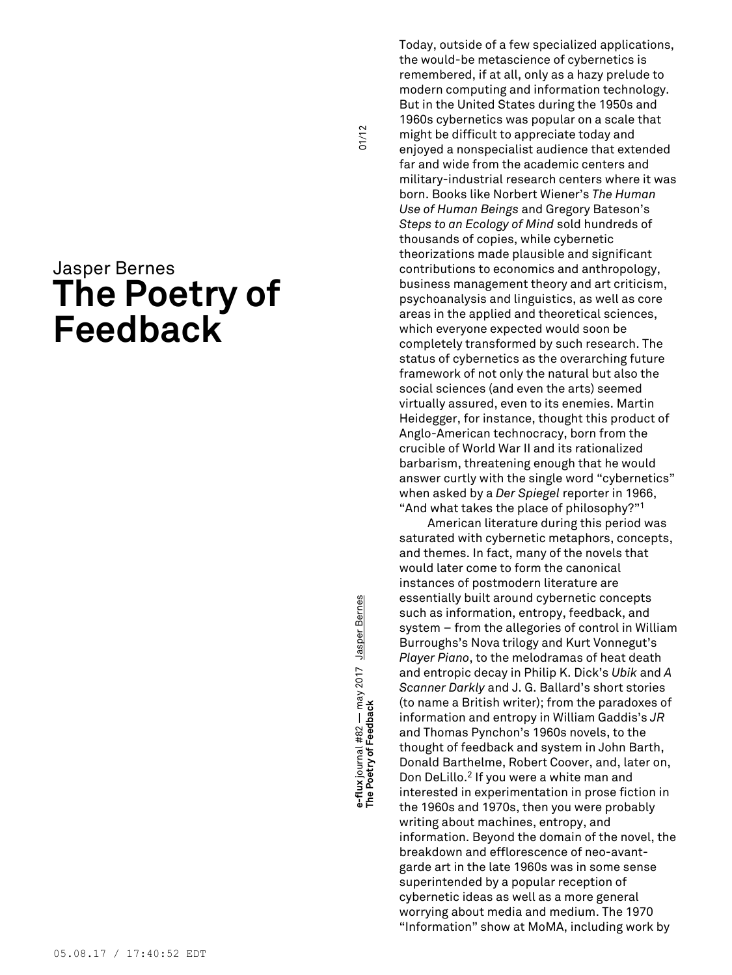# Jasper Bernes **The Poetry of Feedback**

**The Poetry of Feedback** 01/12 may 2017 Jasper Bernes e-flux journal #82 — may 2017 Jasper Bernes<br>The Poetry of Feedback **e-flux** journal #82 —

 $01/12$ 

Today, outside of a few specialized applications, the would-be metascience of cybernetics is remembered, if at all, only as a hazy prelude to modern computing and information technology. But in the United States during the 1950s and 1960s cybernetics was popular on a scale that might be difficult to appreciate today and enjoyed a nonspecialist audience that extended far and wide from the academic centers and military-industrial research centers where it was born. Books like Norbert Wiener's *The Human Use of Human Beings* and Gregory Bateson's *Steps to an Ecology of Mind* sold hundreds of thousands of copies, while cybernetic theorizations made plausible and significant contributions to economics and anthropology, business management theory and art criticism, psychoanalysis and linguistics, as well as core areas in the applied and theoretical sciences, which everyone expected would soon be completely transformed by such research. The status of cybernetics as the overarching future framework of not only the natural but also the social sciences (and even the arts) seemed virtually assured, even to its enemies. Martin Heidegger, for instance, thought this product of Anglo-American technocracy, born from the crucible of World War II and its rationalized barbarism, threatening enough that he would answer curtly with the single word "cybernetics" when asked by a *Der Spiegel* reporter in 1966, "And what takes the place of philosophy?" 1

American literature during this period was saturated with cybernetic metaphors, concepts, and themes. In fact, many of the novels that would later come to form the canonical instances of postmodern literature are essentially built around cybernetic concepts such as information, entropy, feedback, and system – from the allegories of control in William Burroughs's Nova trilogy and Kurt Vonnegut's *Player Piano*, to the melodramas of heat death and entropic decay in Philip K. Dick's *Ubik* and *A Scanner Darkly* and J. G. Ballard's short stories (to name a British writer); from the paradoxes of information and entropy in William Gaddis's *JR* and Thomas Pynchon's 1960s novels, to the thought of feedback and system in John Barth, Donald Barthelme, Robert Coover, and, later on, Don DeLillo. <sup>2</sup> If you were a white man and interested in experimentation in prose fiction in the 1960s and 1970s, then you were probably writing about machines, entropy, and information. Beyond the domain of the novel, the breakdown and efflorescence of neo-avantgarde art in the late 1960s was in some sense superintended by a popular reception of cybernetic ideas as well as a more general worrying about media and medium. The 1970 "Information" show at MoMA, including work by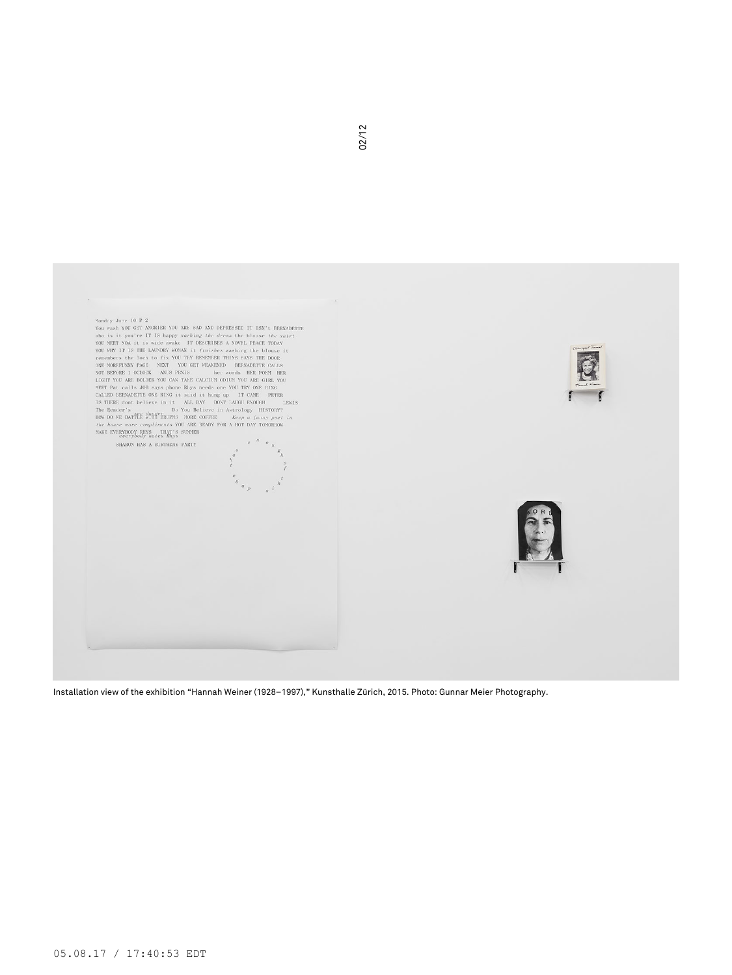Installation view of the exhibition "Hannah Weiner (1928–1997)," Kunsthalle Zürich, 2015. Photo: Gunnar Meier Photography. On the exhibition "Hannah Weiner" (1928–1997), " Kunsthalle Zürich, 2015. Photo: Gunnar Meier Phot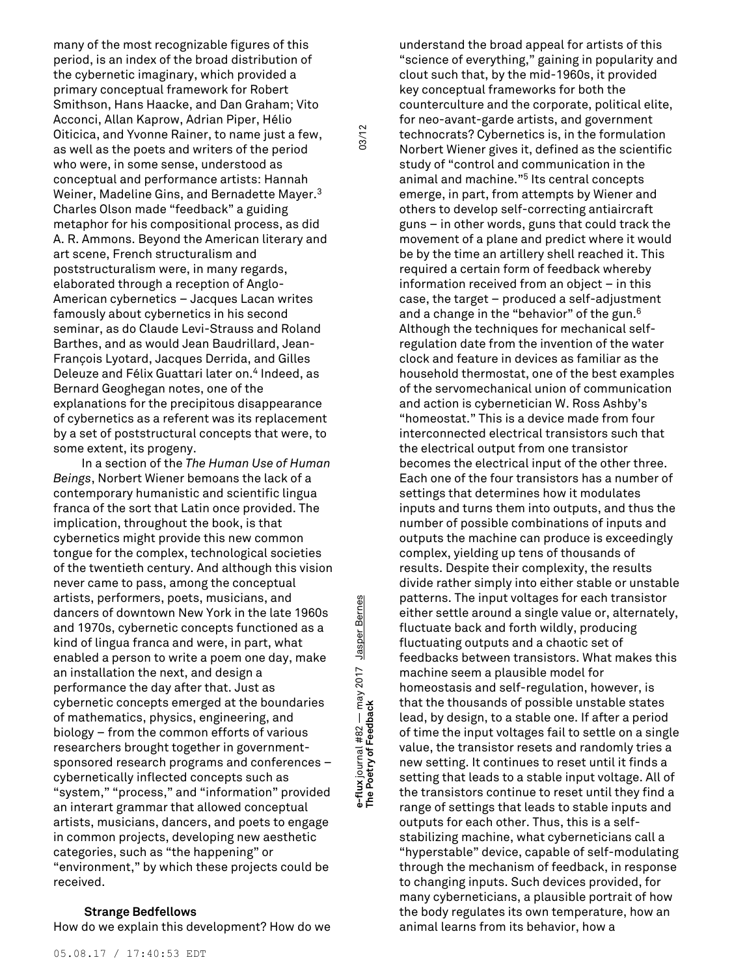many of the most recognizable figures of this period, is an index of the broad distribution of the cybernetic imaginary, which provided a primary conceptual framework for Robert Smithson, Hans Haacke, and Dan Graham; Vito Acconci, Allan Kaprow, Adrian Piper, Hélio Oiticica, and Yvonne Rainer, to name just a few, as well as the poets and writers of the period who were, in some sense, understood as conceptual and performance artists: Hannah Weiner, Madeline Gins, and Bernadette Mayer. $^3$ Charles Olson made "feedback" a guiding metaphor for his compositional process, as did A. R. Ammons. Beyond the American literary and art scene, French structuralism and poststructuralism were, in many regards, elaborated through a reception of Anglo-American cybernetics – Jacques Lacan writes famously about cybernetics in his second seminar, as do Claude Levi-Strauss and Roland Barthes, and as would Jean Baudrillard, Jean-François Lyotard, Jacques Derrida, and Gilles Deleuze and Félix Guattari later on. <sup>4</sup> Indeed, as Bernard Geoghegan notes, one of the explanations for the precipitous disappearance of cybernetics as a referent was its replacement by a set of poststructural concepts that were, to some extent, its progeny.

In a section of the *The Human Use of Human Beings*, Norbert Wiener bemoans the lack of a contemporary humanistic and scientific lingua franca of the sort that Latin once provided. The implication, throughout the book, is that cybernetics might provide this new common tongue for the complex, technological societies of the twentieth century. And although this vision never came to pass, among the conceptual artists, performers, poets, musicians, and dancers of downtown New York in the late 1960s and 1970s, cybernetic concepts functioned as a kind of lingua franca and were, in part, what enabled a person to write a poem one day, make an installation the next, and design a performance the day after that. Just as cybernetic concepts emerged at the boundaries of mathematics, physics, engineering, and biology – from the common efforts of various researchers brought together in governmentsponsored research programs and conferences – cybernetically inflected concepts such as "system," "process," and "information" provided an interart grammar that allowed conceptual artists, musicians, dancers, and poets to engage in common projects, developing new aesthetic categories, such as "the happening" or "environment," by which these projects could be received.

# **Strange Bedfellows**

How do we explain this development? How do we

**The Poetry of Feedback** 03/12 e-flux journal #82 — may 2017 <u>Jasper Bernes</u><br>The Poetry of Feedback may 2017 Jasper Bernes **e-flux** journal #82 —

03/12

understand the broad appeal for artists of this "science of everything," gaining in popularity and clout such that, by the mid-1960s, it provided key conceptual frameworks for both the counterculture and the corporate, political elite, for neo-avant-garde artists, and government technocrats? Cybernetics is, in the formulation Norbert Wiener gives it, defined as the scientific study of "control and communication in the animal and machine." <sup>5</sup> Its central concepts emerge, in part, from attempts by Wiener and others to develop self-correcting antiaircraft guns – in other words, guns that could track the movement of a plane and predict where it would be by the time an artillery shell reached it. This required a certain form of feedback whereby information received from an object – in this case, the target – produced a self-adjustment and a change in the "behavior" of the gun. $^6$ Although the techniques for mechanical selfregulation date from the invention of the water clock and feature in devices as familiar as the household thermostat, one of the best examples of the servomechanical union of communication and action is cybernetician W. Ross Ashby's "homeostat." This is a device made from four interconnected electrical transistors such that the electrical output from one transistor becomes the electrical input of the other three. Each one of the four transistors has a number of settings that determines how it modulates inputs and turns them into outputs, and thus the number of possible combinations of inputs and outputs the machine can produce is exceedingly complex, yielding up tens of thousands of results. Despite their complexity, the results divide rather simply into either stable or unstable patterns. The input voltages for each transistor either settle around a single value or, alternately, fluctuate back and forth wildly, producing fluctuating outputs and a chaotic set of feedbacks between transistors. What makes this machine seem a plausible model for homeostasis and self-regulation, however, is that the thousands of possible unstable states lead, by design, to a stable one. If after a period of time the input voltages fail to settle on a single value, the transistor resets and randomly tries a new setting. It continues to reset until it finds a setting that leads to a stable input voltage. All of the transistors continue to reset until they find a range of settings that leads to stable inputs and outputs for each other. Thus, this is a selfstabilizing machine, what cyberneticians call a "hyperstable" device, capable of self-modulating through the mechanism of feedback, in response to changing inputs. Such devices provided, for many cyberneticians, a plausible portrait of how the body regulates its own temperature, how an animal learns from its behavior, how a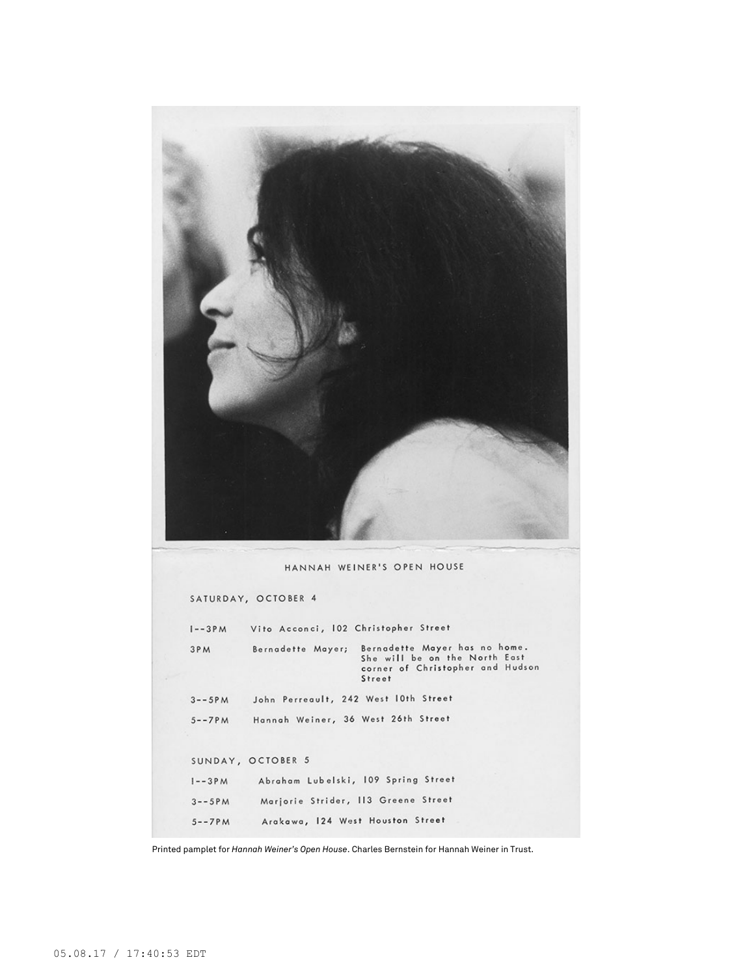

I--3PM Vito Acconci, 102 Christopher Street

| 3PM          | Bernadette Mayer has no home.<br>Bernadette Mayer;<br>She will be on the North East<br>corner of Christopher and Hudson<br>Street |
|--------------|-----------------------------------------------------------------------------------------------------------------------------------|
| $3 - - 5P M$ | John Perreault, 242 West 10th Street                                                                                              |
| $5 - -7$ PM  | Hannah Weiner, 36 West 26th Street                                                                                                |
|              | SUNDAY, OCTOBER 5                                                                                                                 |
| $1 - -3$ PM  | Abraham Lubelski, 109 Spring Street                                                                                               |
| $3 - 5$ PM   | Marjorie Strider, II3 Greene Street                                                                                               |
| $5 - -7$ PM  | Arakawa, 124 West Houston Street                                                                                                  |

Printed pamplet for *Hannah Weiner's Open House*. Charles Bernstein for Hannah Weiner in Trust.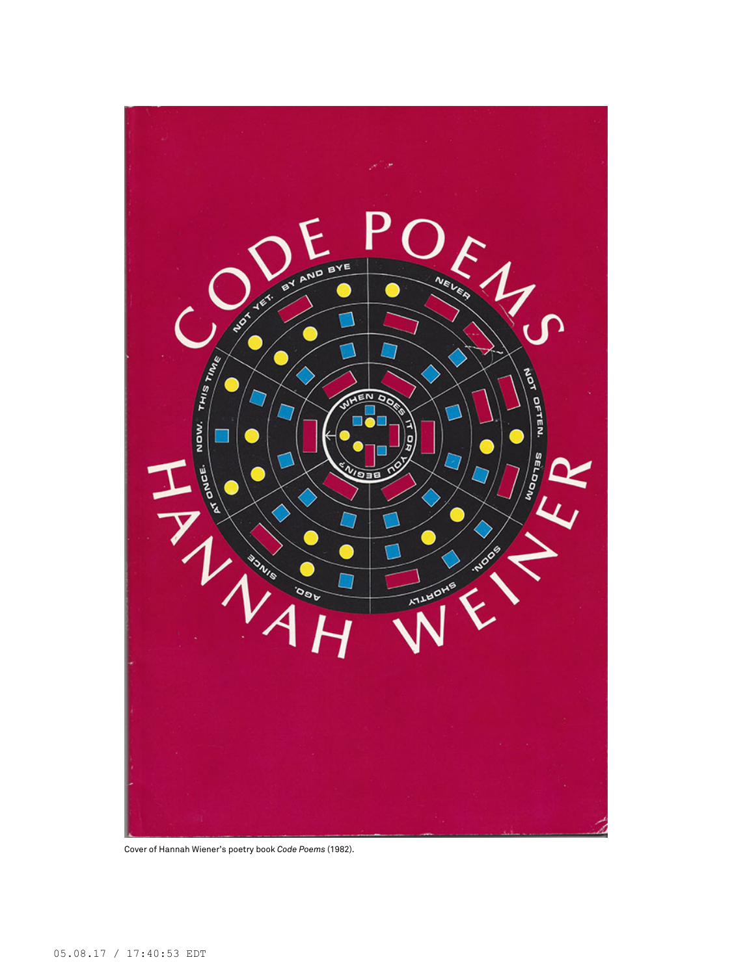

Cover of Hannah Wiener's poetry book *Code Poems* (1982).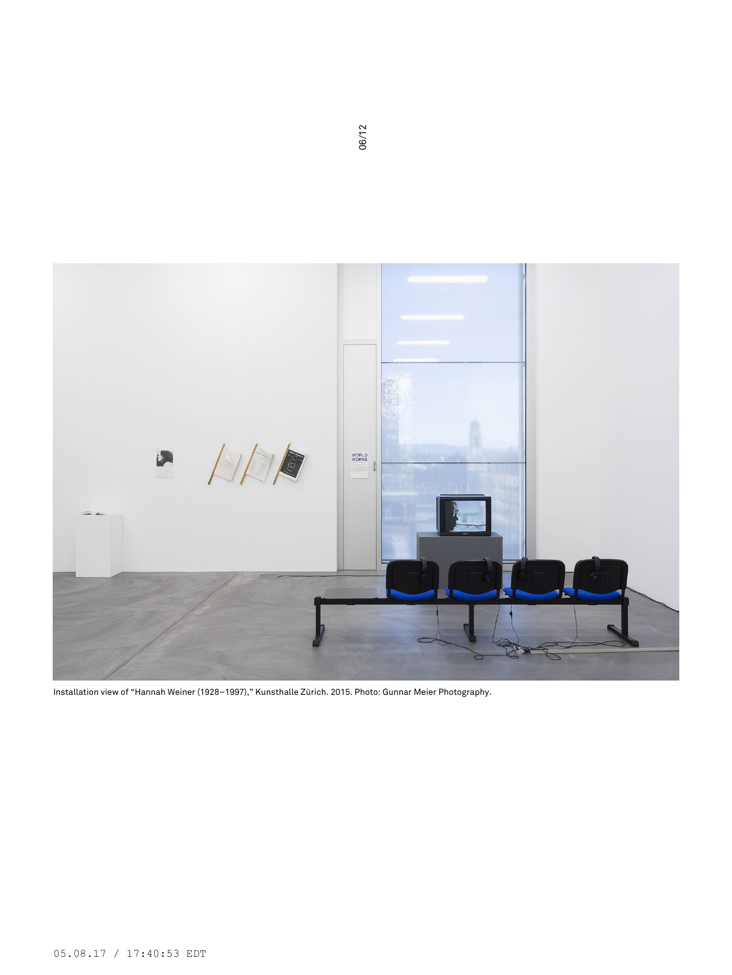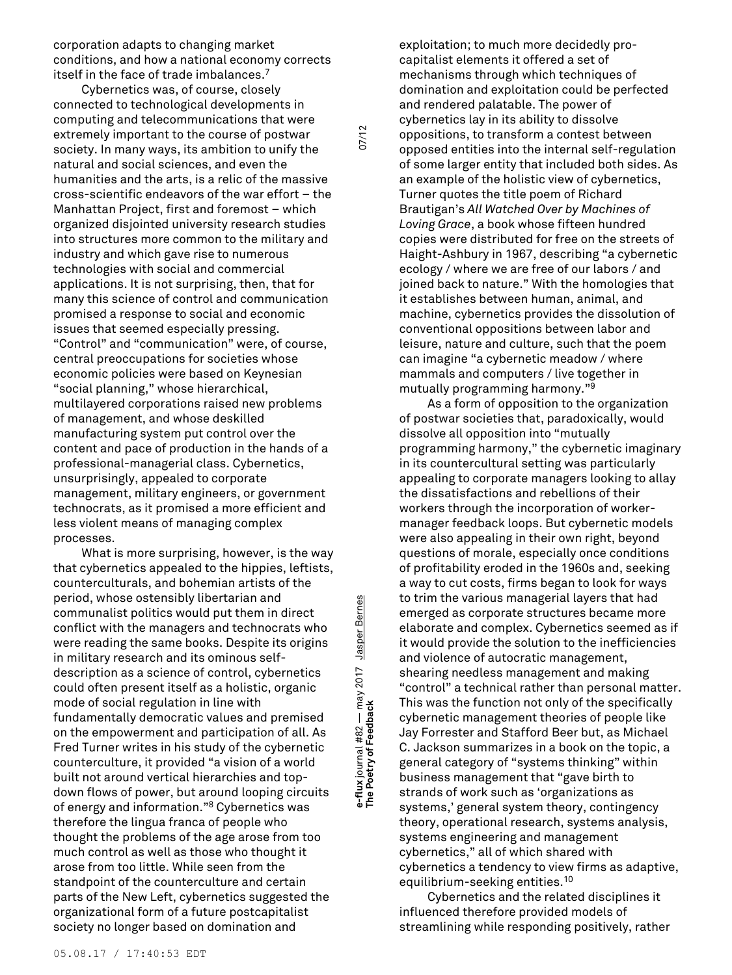corporation adapts to changing market conditions, and how a national economy corrects itself in the face of trade imbalances. 7

Cybernetics was, of course, closely connected to technological developments in computing and telecommunications that were extremely important to the course of postwar society. In many ways, its ambition to unify the natural and social sciences, and even the humanities and the arts, is a relic of the massive cross-scientific endeavors of the war effort – the Manhattan Project, first and foremost – which organized disjointed university research studies into structures more common to the military and industry and which gave rise to numerous technologies with social and commercial applications. It is not surprising, then, that for many this science of control and communication promised a response to social and economic issues that seemed especially pressing. "Control" and "communication" were, of course, central preoccupations for societies whose economic policies were based on Keynesian "social planning," whose hierarchical, multilayered corporations raised new problems of management, and whose deskilled manufacturing system put control over the content and pace of production in the hands of a professional-managerial class. Cybernetics, unsurprisingly, appealed to corporate management, military engineers, or government technocrats, as it promised a more efficient and less violent means of managing complex processes.

What is more surprising, however, is the way that cybernetics appealed to the hippies, leftists, counterculturals, and bohemian artists of the period, whose ostensibly libertarian and communalist politics would put them in direct conflict with the managers and technocrats who were reading the same books. Despite its origins in military research and its ominous selfdescription as a science of control, cybernetics could often present itself as a holistic, organic mode of social regulation in line with fundamentally democratic values and premised on the empowerment and participation of all. As Fred Turner writes in his study of the cybernetic counterculture, it provided "a vision of a world built not around vertical hierarchies and topdown flows of power, but around looping circuits of energy and information." <sup>8</sup> Cybernetics was therefore the lingua franca of people who thought the problems of the age arose from too much control as well as those who thought it arose from too little. While seen from the standpoint of the counterculture and certain parts of the New Left, cybernetics suggested the organizational form of a future postcapitalist society no longer based on domination and

**e-flux** journal #82 —

e-flux journal #82 — may 2017 <u>Jasper Bernes</u><br>The Poetry of Feedback

may 2017 Jasper Bernes

**The Poetry of Feedback** 07/12

 $07/12$ 

exploitation; to much more decidedly procapitalist elements it offered a set of mechanisms through which techniques of domination and exploitation could be perfected and rendered palatable. The power of cybernetics lay in its ability to dissolve oppositions, to transform a contest between opposed entities into the internal self-regulation of some larger entity that included both sides. As an example of the holistic view of cybernetics, Turner quotes the title poem of Richard Brautigan's *All Watched Over by Machines of Loving Grace*, a book whose fifteen hundred copies were distributed for free on the streets of Haight-Ashbury in 1967, describing "a cybernetic ecology / where we are free of our labors / and joined back to nature." With the homologies that it establishes between human, animal, and machine, cybernetics provides the dissolution of conventional oppositions between labor and leisure, nature and culture, such that the poem can imagine "a cybernetic meadow / where mammals and computers / live together in mutually programming harmony." 9

As a form of opposition to the organization of postwar societies that, paradoxically, would dissolve all opposition into "mutually programming harmony," the cybernetic imaginary in its countercultural setting was particularly appealing to corporate managers looking to allay the dissatisfactions and rebellions of their workers through the incorporation of workermanager feedback loops. But cybernetic models were also appealing in their own right, beyond questions of morale, especially once conditions of profitability eroded in the 1960s and, seeking a way to cut costs, firms began to look for ways to trim the various managerial layers that had emerged as corporate structures became more elaborate and complex. Cybernetics seemed as if it would provide the solution to the inefficiencies and violence of autocratic management, shearing needless management and making "control" a technical rather than personal matter. This was the function not only of the specifically cybernetic management theories of people like Jay Forrester and Stafford Beer but, as Michael C. Jackson summarizes in a book on the topic, a general category of "systems thinking" within business management that "gave birth to strands of work such as 'organizations as systems,' general system theory, contingency theory, operational research, systems analysis, systems engineering and management cybernetics," all of which shared with cybernetics a tendency to view firms as adaptive, equilibrium-seeking entities. 10

Cybernetics and the related disciplines it influenced therefore provided models of streamlining while responding positively, rather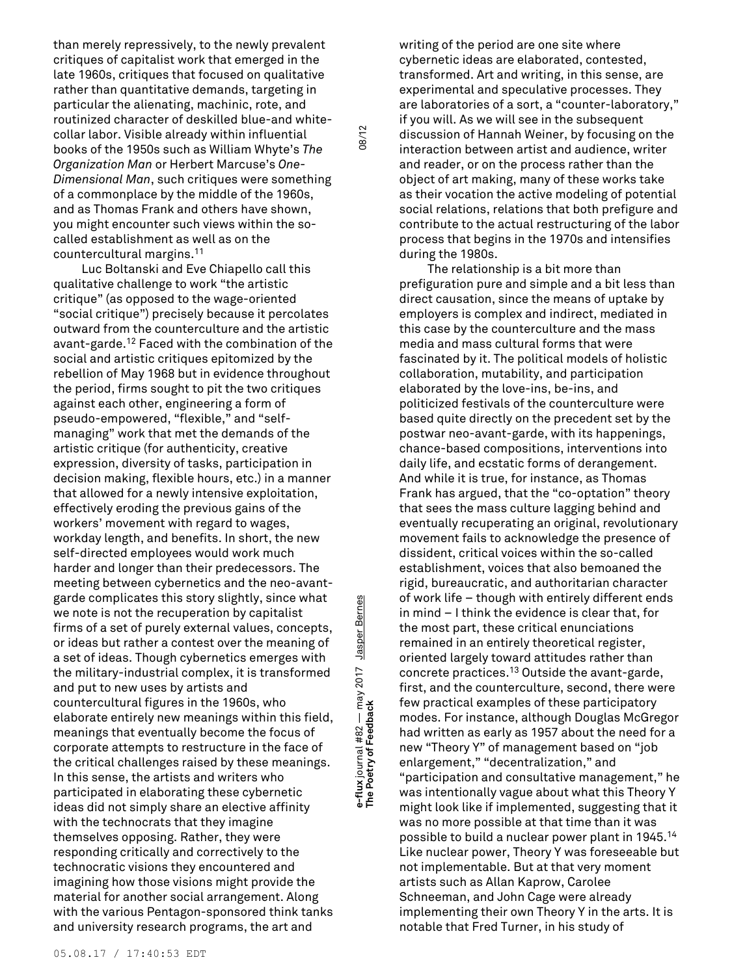than merely repressively, to the newly prevalent critiques of capitalist work that emerged in the late 1960s, critiques that focused on qualitative rather than quantitative demands, targeting in particular the alienating, machinic, rote, and routinized character of deskilled blue-and whitecollar labor. Visible already within influential books of the 1950s such as William Whyte's *The Organization Man* or Herbert Marcuse's *One-Dimensional Man*, such critiques were something of a commonplace by the middle of the 1960s, and as Thomas Frank and others have shown, you might encounter such views within the socalled establishment as well as on the countercultural margins. 11

Luc Boltanski and Eve Chiapello call this qualitative challenge to work "the artistic critique" (as opposed to the wage-oriented "social critique") precisely because it percolates outward from the counterculture and the artistic avant-garde. <sup>12</sup> Faced with the combination of the social and artistic critiques epitomized by the rebellion of May 1968 but in evidence throughout the period, firms sought to pit the two critiques against each other, engineering a form of pseudo-empowered, "flexible," and "selfmanaging" work that met the demands of the artistic critique (for authenticity, creative expression, diversity of tasks, participation in decision making, flexible hours, etc.) in a manner that allowed for a newly intensive exploitation, effectively eroding the previous gains of the workers' movement with regard to wages, workday length, and benefits. In short, the new self-directed employees would work much harder and longer than their predecessors. The meeting between cybernetics and the neo-avantgarde complicates this story slightly, since what we note is not the recuperation by capitalist firms of a set of purely external values, concepts, or ideas but rather a contest over the meaning of a set of ideas. Though cybernetics emerges with the military-industrial complex, it is transformed and put to new uses by artists and countercultural figures in the 1960s, who elaborate entirely new meanings within this field, meanings that eventually become the focus of corporate attempts to restructure in the face of the critical challenges raised by these meanings. In this sense, the artists and writers who participated in elaborating these cybernetic ideas did not simply share an elective affinity with the technocrats that they imagine themselves opposing. Rather, they were responding critically and correctively to the technocratic visions they encountered and imagining how those visions might provide the material for another social arrangement. Along with the various Pentagon-sponsored think tanks and university research programs, the art and

**The Poetry of Feedback** 08/12 e-flux journal #82 — may 2017 <u>Jasper Bernes</u><br>The Poetry of Feedback may 2017 Jasper Bernes **e-flux** journal #82 —

08/12

writing of the period are one site where cybernetic ideas are elaborated, contested, transformed. Art and writing, in this sense, are experimental and speculative processes. They are laboratories of a sort, a "counter-laboratory," if you will. As we will see in the subsequent discussion of Hannah Weiner, by focusing on the interaction between artist and audience, writer and reader, or on the process rather than the object of art making, many of these works take as their vocation the active modeling of potential social relations, relations that both prefigure and contribute to the actual restructuring of the labor process that begins in the 1970s and intensifies during the 1980s.

The relationship is a bit more than prefiguration pure and simple and a bit less than direct causation, since the means of uptake by employers is complex and indirect, mediated in this case by the counterculture and the mass media and mass cultural forms that were fascinated by it. The political models of holistic collaboration, mutability, and participation elaborated by the love-ins, be-ins, and politicized festivals of the counterculture were based quite directly on the precedent set by the postwar neo-avant-garde, with its happenings, chance-based compositions, interventions into daily life, and ecstatic forms of derangement. And while it is true, for instance, as Thomas Frank has argued, that the "co-optation" theory that sees the mass culture lagging behind and eventually recuperating an original, revolutionary movement fails to acknowledge the presence of dissident, critical voices within the so-called establishment, voices that also bemoaned the rigid, bureaucratic, and authoritarian character of work life – though with entirely different ends in mind – I think the evidence is clear that, for the most part, these critical enunciations remained in an entirely theoretical register, oriented largely toward attitudes rather than concrete practices. <sup>13</sup> Outside the avant-garde, first, and the counterculture, second, there were few practical examples of these participatory modes. For instance, although Douglas McGregor had written as early as 1957 about the need for a new "Theory Y" of management based on "job enlargement," "decentralization," and "participation and consultative management," he was intentionally vague about what this Theory Y might look like if implemented, suggesting that it was no more possible at that time than it was possible to build a nuclear power plant in 1945. 14 Like nuclear power, Theory Y was foreseeable but not implementable. But at that very moment artists such as Allan Kaprow, Carolee Schneeman, and John Cage were already implementing their own Theory Y in the arts. It is notable that Fred Turner, in his study of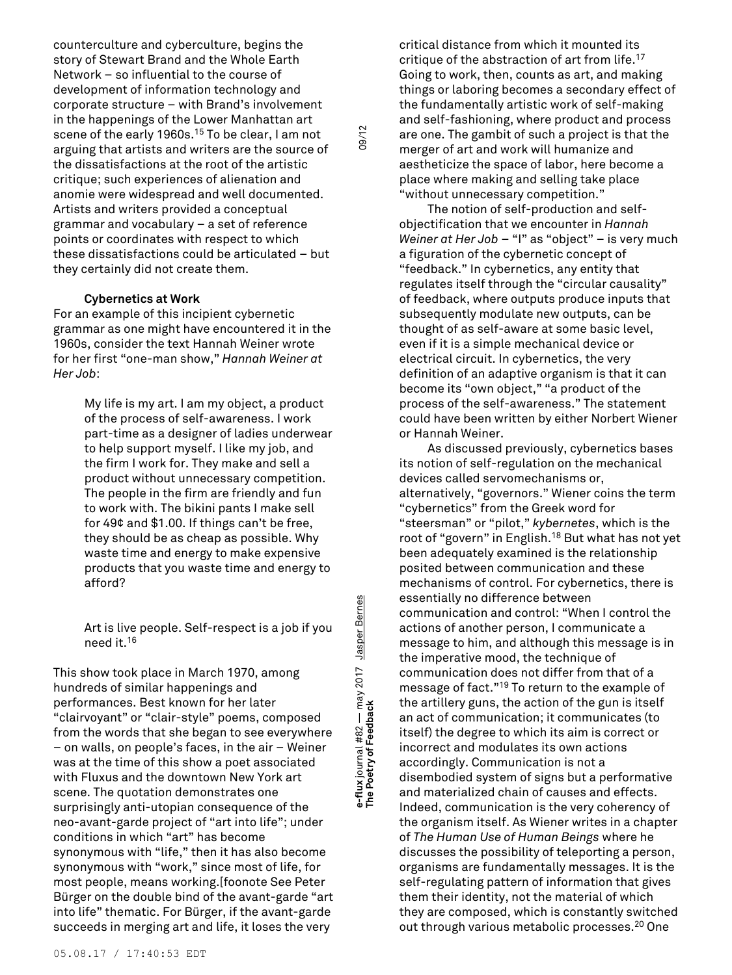counterculture and cyberculture, begins the story of Stewart Brand and the Whole Earth Network – so influential to the course of development of information technology and corporate structure – with Brand's involvement in the happenings of the Lower Manhattan art scene of the early 1960s.<sup>15</sup> To be clear, I am not arguing that artists and writers are the source of the dissatisfactions at the root of the artistic critique; such experiences of alienation and anomie were widespread and well documented. Artists and writers provided a conceptual grammar and vocabulary – a set of reference points or coordinates with respect to which these dissatisfactions could be articulated – but they certainly did not create them.

# **Cybernetics at Work**

For an example of this incipient cybernetic grammar as one might have encountered it in the 1960s, consider the text Hannah Weiner wrote for her first "one-man show," *Hannah Weiner at Her Job*:

> My life is my art. I am my object, a product of the process of self-awareness. I work part-time as a designer of ladies underwear to help support myself. I like my job, and the firm I work for. They make and sell a product without unnecessary competition. The people in the firm are friendly and fun to work with. The bikini pants I make sell for 49¢ and \$1.00. If things can't be free, they should be as cheap as possible. Why waste time and energy to make expensive products that you waste time and energy to afford?

> Art is live people. Self-respect is a job if you need it. 16

This show took place in March 1970, among hundreds of similar happenings and performances. Best known for her later "clairvoyant" or "clair-style" poems, composed from the words that she began to see everywhere – on walls, on people's faces, in the air – Weiner was at the time of this show a poet associated with Fluxus and the downtown New York art scene. The quotation demonstrates one surprisingly anti-utopian consequence of the neo-avant-garde project of "art into life"; under conditions in which "art" has become synonymous with "life," then it has also become synonymous with "work," since most of life, for most people, means working.[foonote See Peter Bürger on the double bind of the avant-garde "art into life" thematic. For Bürger, if the avant-garde succeeds in merging art and life, it loses the very

**e-Tux** Journal #oz — Thay zor — Thay zor , <u>Jaaper Bernes</u><br>The Poetry of Feedback e-flux journal #82 — may 2017 <u>Jasper Bernes</u><br>The Poetry of Feedback may 2017 Jasper Bernes **e-flux** journal #82 —

09/12

critical distance from which it mounted its critique of the abstraction of art from life. 17 Going to work, then, counts as art, and making things or laboring becomes a secondary effect of the fundamentally artistic work of self-making and self-fashioning, where product and process are one. The gambit of such a project is that the merger of art and work will humanize and aestheticize the space of labor, here become a place where making and selling take place "without unnecessary competition."

The notion of self-production and selfobjectification that we encounter in *Hannah Weiner at Her Job* – "I" as "object" – is very much a figuration of the cybernetic concept of "feedback." In cybernetics, any entity that regulates itself through the "circular causality" of feedback, where outputs produce inputs that subsequently modulate new outputs, can be thought of as self-aware at some basic level, even if it is a simple mechanical device or electrical circuit. In cybernetics, the very definition of an adaptive organism is that it can become its "own object," "a product of the process of the self-awareness." The statement could have been written by either Norbert Wiener or Hannah Weiner.

As discussed previously, cybernetics bases its notion of self-regulation on the mechanical devices called servomechanisms or, alternatively, "governors." Wiener coins the term "cybernetics" from the Greek word for "steersman" or "pilot," *kybernetes*, which is the root of "govern" in English. <sup>18</sup> But what has not yet been adequately examined is the relationship posited between communication and these mechanisms of control. For cybernetics, there is essentially no difference between communication and control: "When I control the actions of another person, I communicate a message to him, and although this message is in the imperative mood, the technique of communication does not differ from that of a message of fact." <sup>19</sup> To return to the example of the artillery guns, the action of the gun is itself an act of communication; it communicates (to itself) the degree to which its aim is correct or incorrect and modulates its own actions accordingly. Communication is not a disembodied system of signs but a performative and materialized chain of causes and effects. Indeed, communication is the very coherency of the organism itself. As Wiener writes in a chapter of *The Human Use of Human Beings* where he discusses the possibility of teleporting a person, organisms are fundamentally messages. It is the self-regulating pattern of information that gives them their identity, not the material of which they are composed, which is constantly switched out through various metabolic processes. <sup>20</sup> One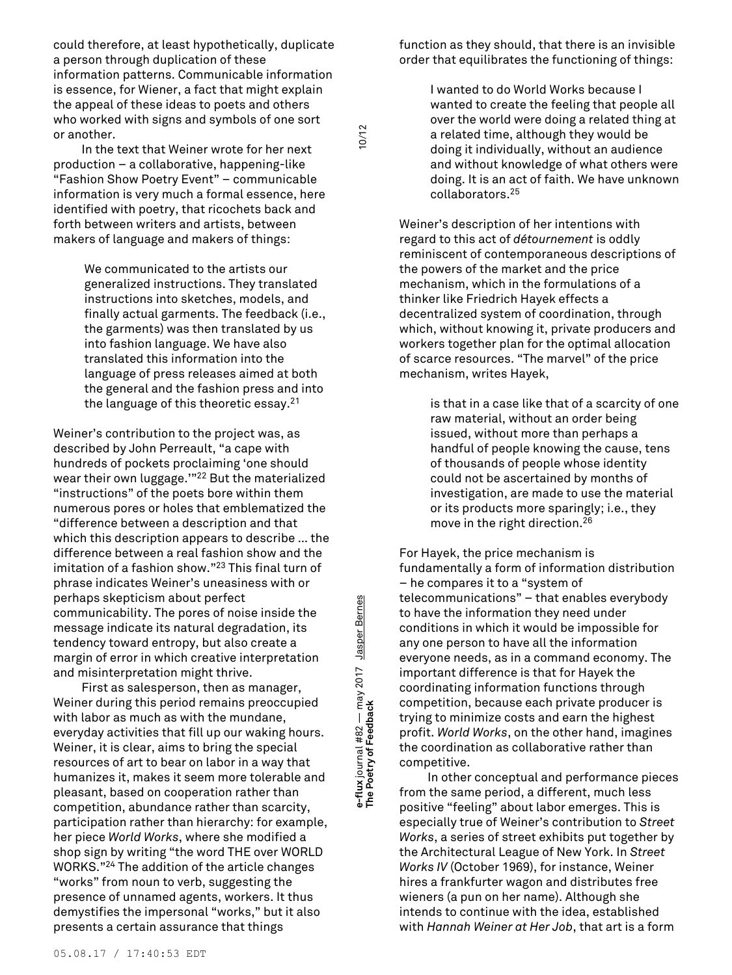could therefore, at least hypothetically, duplicate a person through duplication of these information patterns. Communicable information is essence, for Wiener, a fact that might explain the appeal of these ideas to poets and others who worked with signs and symbols of one sort or another.

In the text that Weiner wrote for her next production – a collaborative, happening-like "Fashion Show Poetry Event" – communicable information is very much a formal essence, here identified with poetry, that ricochets back and forth between writers and artists, between makers of language and makers of things:

> We communicated to the artists our generalized instructions. They translated instructions into sketches, models, and finally actual garments. The feedback (i.e., the garments) was then translated by us into fashion language. We have also translated this information into the language of press releases aimed at both the general and the fashion press and into the language of this theoretic essay. 21

Weiner's contribution to the project was, as described by John Perreault, "a cape with hundreds of pockets proclaiming 'one should wear their own luggage.'" <sup>22</sup> But the materialized "instructions" of the poets bore within them numerous pores or holes that emblematized the "difference between a description and that which this description appears to describe … the difference between a real fashion show and the imitation of a fashion show." <sup>23</sup> This final turn of phrase indicates Weiner's uneasiness with or perhaps skepticism about perfect communicability. The pores of noise inside the message indicate its natural degradation, its tendency toward entropy, but also create a margin of error in which creative interpretation and misinterpretation might thrive.

First as salesperson, then as manager, Weiner during this period remains preoccupied with labor as much as with the mundane, everyday activities that fill up our waking hours. Weiner, it is clear, aims to bring the special resources of art to bear on labor in a way that humanizes it, makes it seem more tolerable and pleasant, based on cooperation rather than competition, abundance rather than scarcity, participation rather than hierarchy: for example, her piece *World Works*, where she modified a shop sign by writing "the word THE over WORLD WORKS." <sup>24</sup> The addition of the article changes "works" from noun to verb, suggesting the presence of unnamed agents, workers. It thus demystifies the impersonal "works," but it also presents a certain assurance that things

**e-flux** journal #82 —

e-flux journal #82 — may 2017 <u>Jasper Bernes</u><br>The Poetry of Feedback

may 2017 Jasper Bernes

**The Poetry of Feedback** 10/12

 $10/12$ 

function as they should, that there is an invisible order that equilibrates the functioning of things:

> I wanted to do World Works because I wanted to create the feeling that people all over the world were doing a related thing at a related time, although they would be doing it individually, without an audience and without knowledge of what others were doing. It is an act of faith. We have unknown collaborators. 25

Weiner's description of her intentions with regard to this act of *détournement* is oddly reminiscent of contemporaneous descriptions of the powers of the market and the price mechanism, which in the formulations of a thinker like Friedrich Hayek effects a decentralized system of coordination, through which, without knowing it, private producers and workers together plan for the optimal allocation of scarce resources. "The marvel" of the price mechanism, writes Hayek,

> is that in a case like that of a scarcity of one raw material, without an order being issued, without more than perhaps a handful of people knowing the cause, tens of thousands of people whose identity could not be ascertained by months of investigation, are made to use the material or its products more sparingly; i.e., they move in the right direction. 26

For Hayek, the price mechanism is fundamentally a form of information distribution – he compares it to a "system of telecommunications" – that enables everybody to have the information they need under conditions in which it would be impossible for any one person to have all the information everyone needs, as in a command economy. The important difference is that for Hayek the coordinating information functions through competition, because each private producer is trying to minimize costs and earn the highest profit. *World Works*, on the other hand, imagines the coordination as collaborative rather than competitive.

In other conceptual and performance pieces from the same period, a different, much less positive "feeling" about labor emerges. This is especially true of Weiner's contribution to *Street Works*, a series of street exhibits put together by the Architectural League of New York. In *Street Works IV* (October 1969), for instance, Weiner hires a frankfurter wagon and distributes free wieners (a pun on her name). Although she intends to continue with the idea, established with *Hannah Weiner at Her Job*, that art is a form

05.08.17 / 17:40:53 EDT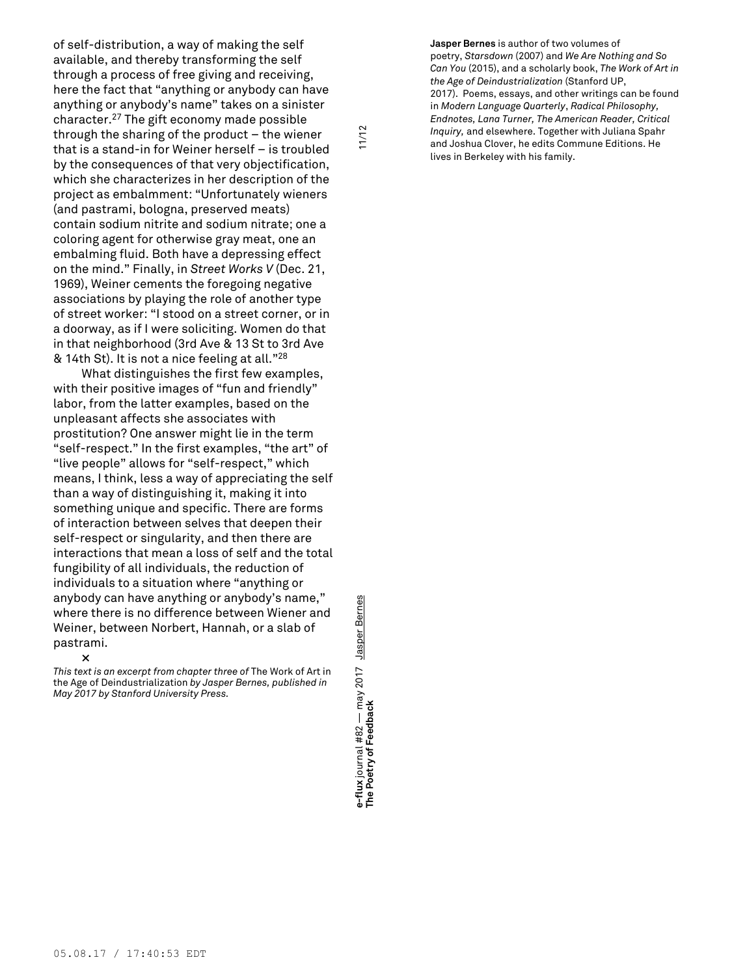**The Poetry of Feedback** 11/12 may 2017 Jasper Bernes e-flux journal #82 — may 2017 <u>Jasper Bernes</u><br>The Poetry of Feedback **e-flux** journal #82 —

 $11/12$ 

of self-distribution, a way of making the self available, and thereby transforming the self through a process of free giving and receiving, here the fact that "anything or anybody can have anything or anybody's name" takes on a sinister character. <sup>27</sup> The gift economy made possible through the sharing of the product – the wiener that is a stand-in for Weiner herself – is troubled by the consequences of that very objectification, which she characterizes in her description of the project as embalmment: "Unfortunately wieners (and pastrami, bologna, preserved meats) contain sodium nitrite and sodium nitrate; one a coloring agent for otherwise gray meat, one an embalming fluid. Both have a depressing effect on the mind." Finally, in *Street Works V* (Dec. 21, 1969), Weiner cements the foregoing negative associations by playing the role of another type of street worker: "I stood on a street corner, or in a doorway, as if I were soliciting. Women do that in that neighborhood (3rd Ave & 13 St to 3rd Ave & 14th St). It is not a nice feeling at all." 28

What distinguishes the first few examples, with their positive images of "fun and friendly" labor, from the latter examples, based on the unpleasant affects she associates with prostitution? One answer might lie in the term "self-respect." In the first examples, "the art" of "live people" allows for "self-respect," which means, I think, less a way of appreciating the self than a way of distinguishing it, making it into something unique and specific. There are forms of interaction between selves that deepen their self-respect or singularity, and then there are interactions that mean a loss of self and the total fungibility of all individuals, the reduction of individuals to a situation where "anything or anybody can have anything or anybody's name," where there is no difference between Wiener and Weiner, between Norbert, Hannah, or a slab of pastrami.

# **×**

*This text is an excerpt from chapter three of* The Work of Art in the Age of Deindustrialization *by Jasper Bernes, published in May 2017 by Stanford University Press.*

**Jasper Bernes** is author of two volumes of poetry, *Starsdown* (2007) and *We Are Nothing and So Can You* (2015), and a scholarly book, *The Work of Art in the Age of Deindustrialization* (Stanford UP, 2017). Poems, essays, and other writings can be found in *Modern Language Quarterly*, *Radical Philosophy, Endnotes, Lana Turner, The American Reader, Critical Inquiry,* and elsewhere. Together with Juliana Spahr and Joshua Clover, he edits Commune Editions. He lives in Berkeley with his family.